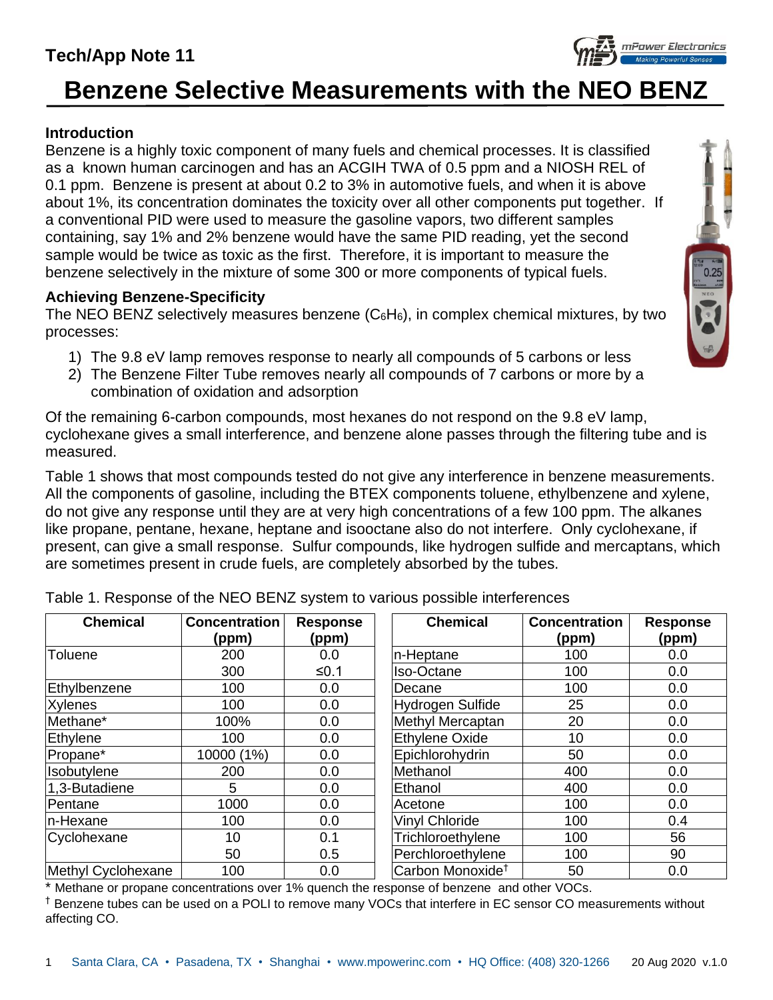## **Tech/App Note 11**

# **Benzene Selective Measurements with the NEO BENZ**

## **Introduction**

Benzene is a highly toxic component of many fuels and chemical processes. It is classified as a known human carcinogen and has an ACGIH TWA of 0.5 ppm and a NIOSH REL of 0.1 ppm. Benzene is present at about 0.2 to 3% in automotive fuels, and when it is above about 1%, its concentration dominates the toxicity over all other components put together. If a conventional PID were used to measure the gasoline vapors, two different samples containing, say 1% and 2% benzene would have the same PID reading, yet the second sample would be twice as toxic as the first. Therefore, it is important to measure the benzene selectively in the mixture of some 300 or more components of typical fuels.

## **Achieving Benzene-Specificity**

The NEO BENZ selectively measures benzene  $(C_6H_6)$ , in complex chemical mixtures, by two processes:

- 1) The 9.8 eV lamp removes response to nearly all compounds of 5 carbons or less
- 2) The Benzene Filter Tube removes nearly all compounds of 7 carbons or more by a combination of oxidation and adsorption

Of the remaining 6-carbon compounds, most hexanes do not respond on the 9.8 eV lamp, cyclohexane gives a small interference, and benzene alone passes through the filtering tube and is measured.

Table 1 shows that most compounds tested do not give any interference in benzene measurements. All the components of gasoline, including the BTEX components toluene, ethylbenzene and xylene, do not give any response until they are at very high concentrations of a few 100 ppm. The alkanes like propane, pentane, hexane, heptane and isooctane also do not interfere. Only cyclohexane, if present, can give a small response. Sulfur compounds, like hydrogen sulfide and mercaptans, which are sometimes present in crude fuels, are completely absorbed by the tubes.

| <b>Chemical</b>    | <b>Concentration</b><br>(ppm) | <b>Response</b><br>(ppm) | <b>Chemical</b>              | <b>Concentration</b><br>(ppm) | <b>Response</b><br>(ppm) |
|--------------------|-------------------------------|--------------------------|------------------------------|-------------------------------|--------------------------|
| Toluene            | 200                           | 0.0                      | In-Heptane                   | 100                           | 0.0                      |
|                    | 300                           | ≤0.1                     | Iso-Octane                   | 100                           | 0.0                      |
| Ethylbenzene       | 100                           | 0.0                      | Decane                       | 100                           | 0.0                      |
| <b>Xylenes</b>     | 100                           | 0.0                      | Hydrogen Sulfide             | 25                            | 0.0                      |
| Methane*           | 100%                          | 0.0                      | Methyl Mercaptan             | 20                            | 0.0                      |
| Ethylene           | 100                           | 0.0                      | <b>Ethylene Oxide</b>        | 10                            | 0.0                      |
| Propane*           | 10000 (1%)                    | 0.0                      | Epichlorohydrin              | 50                            | 0.0                      |
| Isobutylene        | 200                           | 0.0                      | Methanol                     | 400                           | 0.0                      |
| 1,3-Butadiene      | 5                             | 0.0                      | Ethanol                      | 400                           | 0.0                      |
| Pentane            | 1000                          | 0.0                      | Acetone                      | 100                           | 0.0                      |
| n-Hexane           | 100                           | 0.0                      | <b>Vinyl Chloride</b>        | 100                           | 0.4                      |
| Cyclohexane        | 10                            | 0.1                      | Trichloroethylene            | 100                           | 56                       |
|                    | 50                            | 0.5                      | Perchloroethylene            | 100                           | 90                       |
| Methyl Cyclohexane | 100                           | 0.0                      | Carbon Monoxide <sup>t</sup> | 50                            | 0.0                      |

Table 1. Response of the NEO BENZ system to various possible interferences

\* Methane or propane concentrations over 1% quench the response of benzene and other VOCs.

† Benzene tubes can be used on a POLI to remove many VOCs that interfere in EC sensor CO measurements without affecting CO.



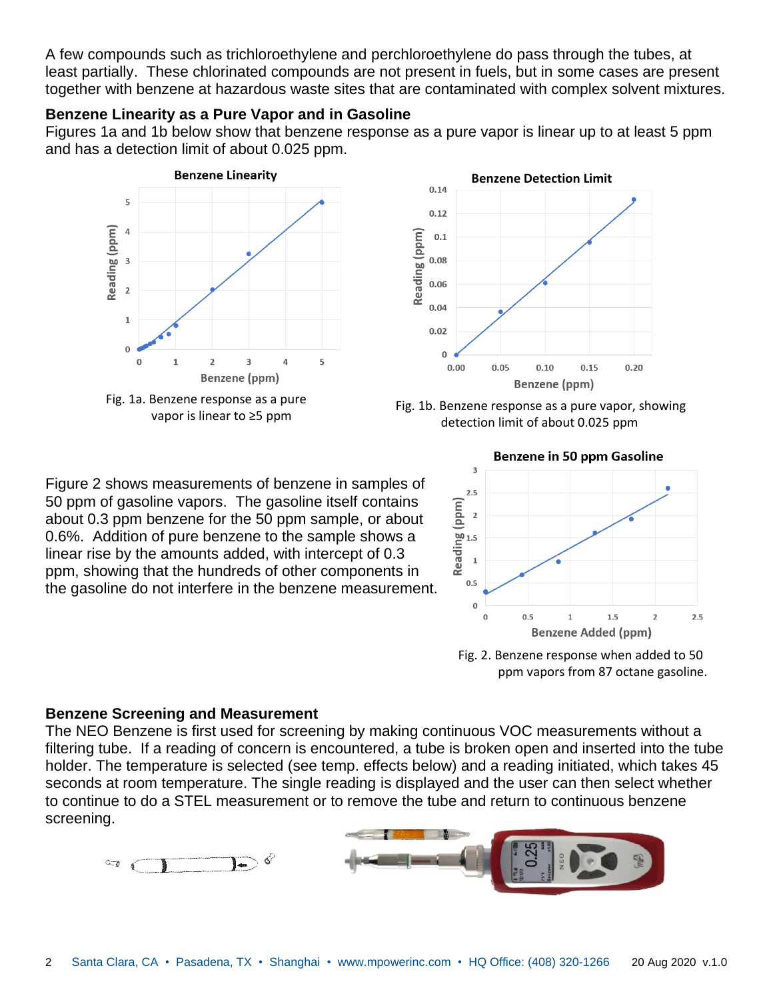A few compounds such as trichloroethylene and perchloroethylene do pass through the tubes, at least partially. These chlorinated compounds are not present in fuels, but in some cases are present together with benzene at hazardous waste sites that are contaminated with complex solvent mixtures.

## **Benzene Linearity as a Pure Vapor and in Gasoline**

Figures 1a and 1b below show that benzene response as a pure vapor is linear up to at least 5 ppm and has a detection limit of about 0.025 ppm.









Figure 2 shows measurements of benzene in samples of 50 ppm of gasoline vapors. The gasoline itself contains about 0.3 ppm benzene for the 50 ppm sample, or about 0.6%. Addition of pure benzene to the sample shows a linear rise by the amounts added, with intercept of 0.3 ppm, showing that the hundreds of other components in the gasoline do not interfere in the benzene measurement.



Fig. 2. Benzene response when added to 50 ppm vapors from 87 octane gasoline.

#### **Benzene Screening and Measurement**

 $\sim 0$ 

The NEO Benzene is first used for screening by making continuous VOC measurements without a filtering tube. If a reading of concern is encountered, a tube is broken open and inserted into the tube holder. The temperature is selected (see temp. effects below) and a reading initiated, which takes 45 seconds at room temperature. The single reading is displayed and the user can then select whether to continue to do a STEL measurement or to remove the tube and return to continuous benzene screening.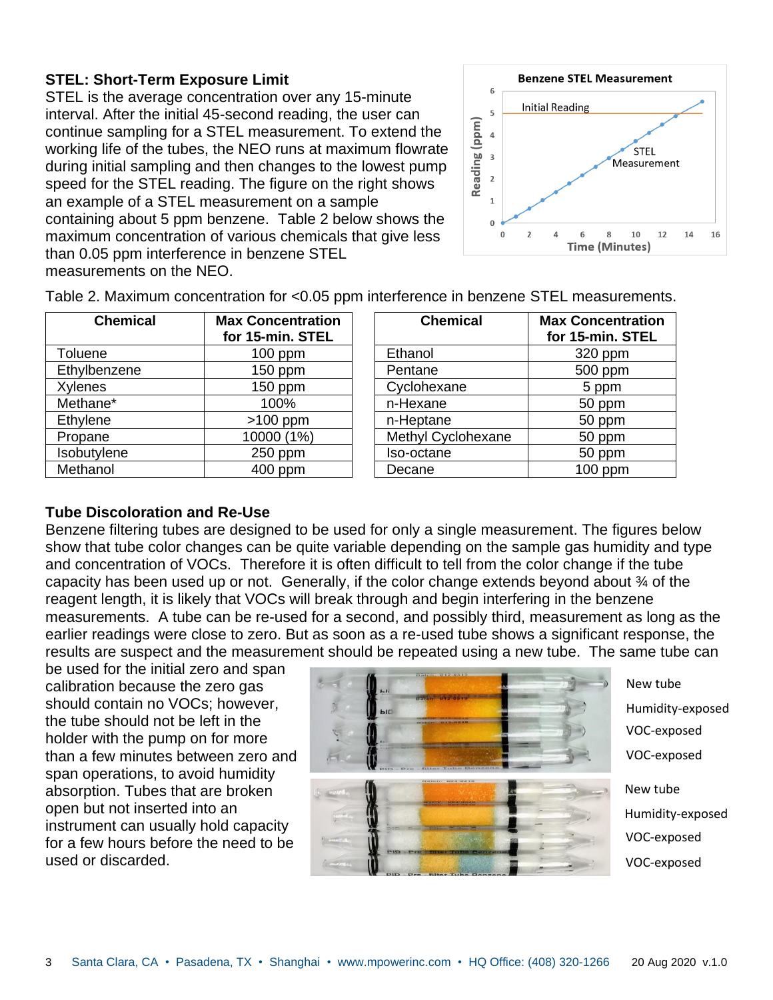## **STEL: Short-Term Exposure Limit**

STEL is the average concentration over any 15-minute interval. After the initial 45-second reading, the user can continue sampling for a STEL measurement. To extend the working life of the tubes, the NEO runs at maximum flowrate during initial sampling and then changes to the lowest pump speed for the STEL reading. The figure on the right shows an example of a STEL measurement on a sample containing about 5 ppm benzene. Table 2 below shows the maximum concentration of various chemicals that give less than 0.05 ppm interference in benzene STEL measurements on the NEO.



| <b>Chemical</b> | <b>Max Concentration</b><br>for 15-min. STEL | <b>Chemical</b>    | <b>Max Concentr</b><br>for 15-min. S |
|-----------------|----------------------------------------------|--------------------|--------------------------------------|
| Toluene         | $100$ ppm                                    | Ethanol            | 320 ppm                              |
| Ethylbenzene    | $150$ ppm                                    | Pentane            | 500 ppm                              |
| <b>Xylenes</b>  | $150$ ppm                                    | Cyclohexane        | 5 ppm                                |
| Methane*        | 100%                                         | n-Hexane           | 50 ppm                               |
| Ethylene        | $>100$ ppm                                   | n-Heptane          | 50 ppm                               |
| Propane         | 10000 (1%)                                   | Methyl Cyclohexane | 50 ppm                               |
| Isobutylene     | $250$ ppm                                    | Iso-octane         | 50 ppm                               |
| Methanol        | 400 ppm                                      | Decane             | $100$ ppm                            |

Table 2. Maximum concentration for <0.05 ppm interference in benzene STEL measurements.

| <b>Chemical</b>    | <b>Max Concentration</b><br>for 15-min. STEL |  |  |
|--------------------|----------------------------------------------|--|--|
| Ethanol            | 320 ppm                                      |  |  |
| Pentane            | 500 ppm                                      |  |  |
| Cyclohexane        | 5 ppm                                        |  |  |
| n-Hexane           | 50 ppm                                       |  |  |
| n-Heptane          | 50 ppm                                       |  |  |
| Methyl Cyclohexane | 50 ppm                                       |  |  |
| Iso-octane         | 50 ppm                                       |  |  |
| Decane             | ppm                                          |  |  |

## **Tube Discoloration and Re-Use**

Benzene filtering tubes are designed to be used for only a single measurement. The figures below show that tube color changes can be quite variable depending on the sample gas humidity and type and concentration of VOCs. Therefore it is often difficult to tell from the color change if the tube capacity has been used up or not. Generally, if the color change extends beyond about  $\mathcal{U}$  of the reagent length, it is likely that VOCs will break through and begin interfering in the benzene measurements. A tube can be re-used for a second, and possibly third, measurement as long as the earlier readings were close to zero. But as soon as a re-used tube shows a significant response, the results are suspect and the measurement should be repeated using a new tube. The same tube can

be used for the initial zero and span calibration because the zero gas should contain no VOCs; however, the tube should not be left in the holder with the pump on for more than a few minutes between zero and span operations, to avoid humidity absorption. Tubes that are broken open but not inserted into an instrument can usually hold capacity for a few hours before the need to be used or discarded.